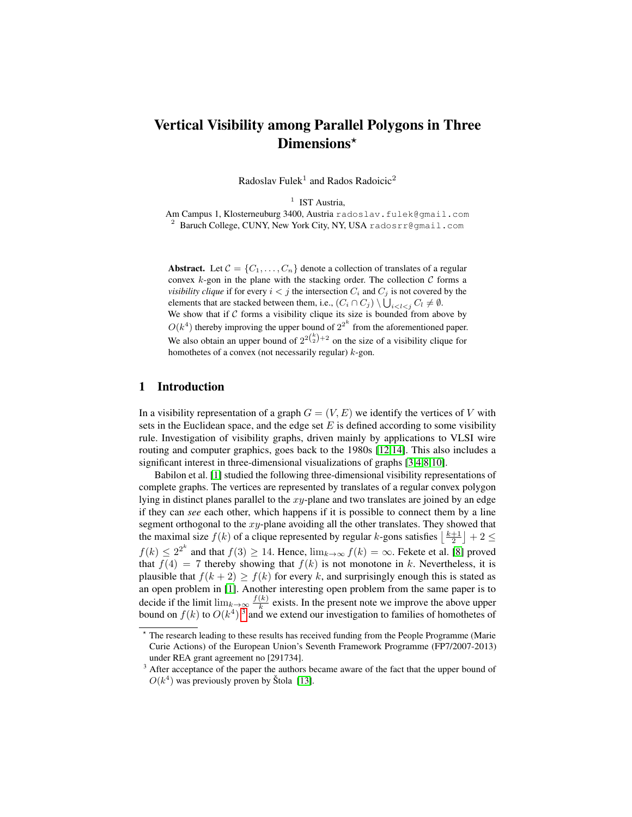# Vertical Visibility among Parallel Polygons in Three Dimensions\*

Radoslav Fulek<sup>1</sup> and Rados Radoicic<sup>2</sup>

<sup>1</sup> IST Austria, Am Campus 1, Klosterneuburg 3400, Austria radoslav.fulek@gmail.com <sup>2</sup> Baruch College, CUNY, New York City, NY, USA radosrr@gmail.com

Abstract. Let  $C = \{C_1, \ldots, C_n\}$  denote a collection of translates of a regular convex  $k$ -gon in the plane with the stacking order. The collection  $C$  forms a *visibility clique* if for every  $i < j$  the intersection  $C_i$  and  $C_j$  is not covered by the elements that are stacked between them, i.e.,  $(C_i \cap C_j) \setminus \bigcup_{i < l < j} C_l \neq \emptyset$ . We show that if  $C$  forms a visibility clique its size is bounded from above by  $O(k^4)$  thereby improving the upper bound of  $2^{2^k}$  from the aforementioned paper. We also obtain an upper bound of  $2^{2{k \choose 2}+2}$  on the size of a visibility clique for homothetes of a convex (not necessarily regular)  $k$ -gon.

## 1 Introduction

In a visibility representation of a graph  $G = (V, E)$  we identify the vertices of V with sets in the Euclidean space, and the edge set  $E$  is defined according to some visibility rule. Investigation of visibility graphs, driven mainly by applications to VLSI wire routing and computer graphics, goes back to the 1980s [\[12,](#page-5-0)[14\]](#page-5-1). This also includes a significant interest in three-dimensional visualizations of graphs [\[3,](#page-5-2)[4,](#page-5-3)[8,](#page-5-4)[10\]](#page-5-5).

Babilon et al. [\[1\]](#page-5-6) studied the following three-dimensional visibility representations of complete graphs. The vertices are represented by translates of a regular convex polygon lying in distinct planes parallel to the  $xy$ -plane and two translates are joined by an edge if they can *see* each other, which happens if it is possible to connect them by a line segment orthogonal to the  $xy$ -plane avoiding all the other translates. They showed that the maximal size  $f(k)$  of a clique represented by regular k-gons satisfies  $\left\lfloor \frac{k+1}{2} \right\rfloor + 2 \leq$  $f(k) \leq 2^{2^k}$  and that  $f(3) \geq 14$ . Hence,  $\lim_{k \to \infty} f(k) = \infty$ . Fekete et al. [\[8\]](#page-5-4) proved that  $f(4) = 7$  thereby showing that  $f(k)$  is not monotone in k. Nevertheless, it is plausible that  $f(k+2) \ge f(k)$  for every k, and surprisingly enough this is stated as an open problem in [\[1\]](#page-5-6). Another interesting open problem from the same paper is to decide if the limit  $\lim_{k\to\infty} \frac{f(k)}{k}$  $\frac{k}{k}$  exists. In the present note we improve the above upper bound on  $f(k)$  to  $O(k^4)$  <sup>[3](#page-0-0)</sup> and we extend our investigation to families of homothetes of

<sup>?</sup> The research leading to these results has received funding from the People Programme (Marie Curie Actions) of the European Union's Seventh Framework Programme (FP7/2007-2013) under REA grant agreement no [291734].

<span id="page-0-0"></span><sup>&</sup>lt;sup>3</sup> After acceptance of the paper the authors became aware of the fact that the upper bound of  $O(k^4)$  was previously proven by Štola [\[13\]](#page-5-7).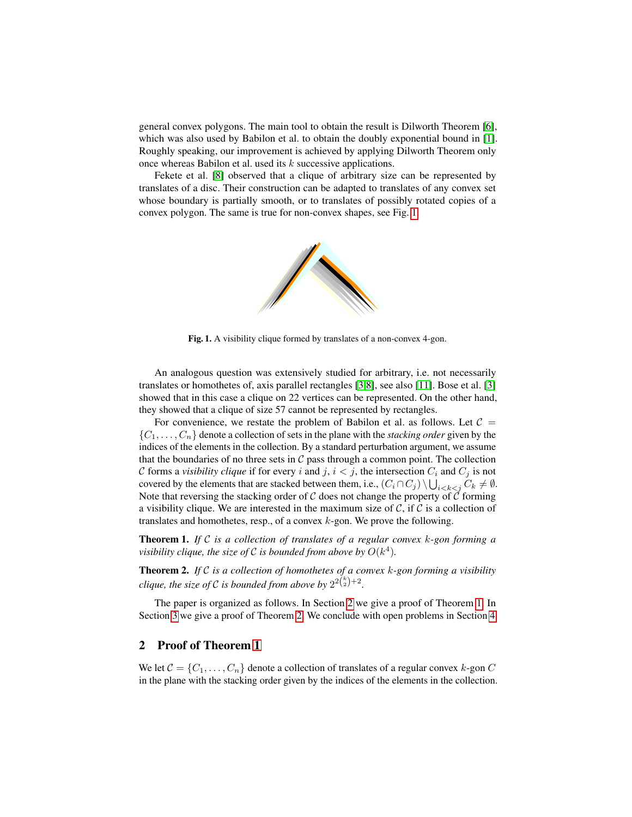general convex polygons. The main tool to obtain the result is Dilworth Theorem [\[6\]](#page-5-8), which was also used by Babilon et al. to obtain the doubly exponential bound in [\[1\]](#page-5-6). Roughly speaking, our improvement is achieved by applying Dilworth Theorem only once whereas Babilon et al. used its k successive applications.

Fekete et al. [\[8\]](#page-5-4) observed that a clique of arbitrary size can be represented by translates of a disc. Their construction can be adapted to translates of any convex set whose boundary is partially smooth, or to translates of possibly rotated copies of a convex polygon. The same is true for non-convex shapes, see Fig. [1.](#page-1-0)



<span id="page-1-0"></span>Fig. 1. A visibility clique formed by translates of a non-convex 4-gon.

An analogous question was extensively studied for arbitrary, i.e. not necessarily translates or homothetes of, axis parallel rectangles [\[3](#page-5-2)[,8\]](#page-5-4), see also [\[11\]](#page-5-9). Bose et al. [\[3\]](#page-5-2) showed that in this case a clique on 22 vertices can be represented. On the other hand, they showed that a clique of size 57 cannot be represented by rectangles.

For convenience, we restate the problem of Babilon et al. as follows. Let  $C =$  $\{C_1, \ldots, C_n\}$  denote a collection of sets in the plane with the *stacking order* given by the indices of the elements in the collection. By a standard perturbation argument, we assume that the boundaries of no three sets in  $C$  pass through a common point. The collection C forms a *visibility clique* if for every i and j,  $i < j$ , the intersection  $C_i$  and  $C_j$  is not covered by the elements that are stacked between them, i.e.,  $(C_i \cap C_j) \setminus \bigcup_{i < k < j} C_k \neq \emptyset$ . Note that reversing the stacking order of  $\mathcal C$  does not change the property of  $\mathcal C$  forming a visibility clique. We are interested in the maximum size of  $\mathcal{C}$ , if  $\mathcal{C}$  is a collection of translates and homothetes, resp., of a convex  $k$ -gon. We prove the following.

<span id="page-1-2"></span>Theorem 1. *If* C *is a collection of translates of a regular convex* k*-gon forming a visibility clique, the size of*  $\mathcal C$  *is bounded from above by*  $O(k^4)$ *.* 

<span id="page-1-3"></span>Theorem 2. *If* C *is a collection of homothetes of a convex* k*-gon forming a visibility clique, the size of*  $\mathcal C$  *is bounded from above by*  $2^{2{k \choose 2}+2}$ .

The paper is organized as follows. In Section [2](#page-1-1) we give a proof of Theorem [1.](#page-1-2) In Section [3](#page-4-0) we give a proof of Theorem [2.](#page-1-3) We conclude with open problems in Section [4.](#page-5-10)

### <span id="page-1-1"></span>2 Proof of Theorem [1](#page-1-2)

We let  $C = \{C_1, \ldots, C_n\}$  denote a collection of translates of a regular convex k-gon C in the plane with the stacking order given by the indices of the elements in the collection.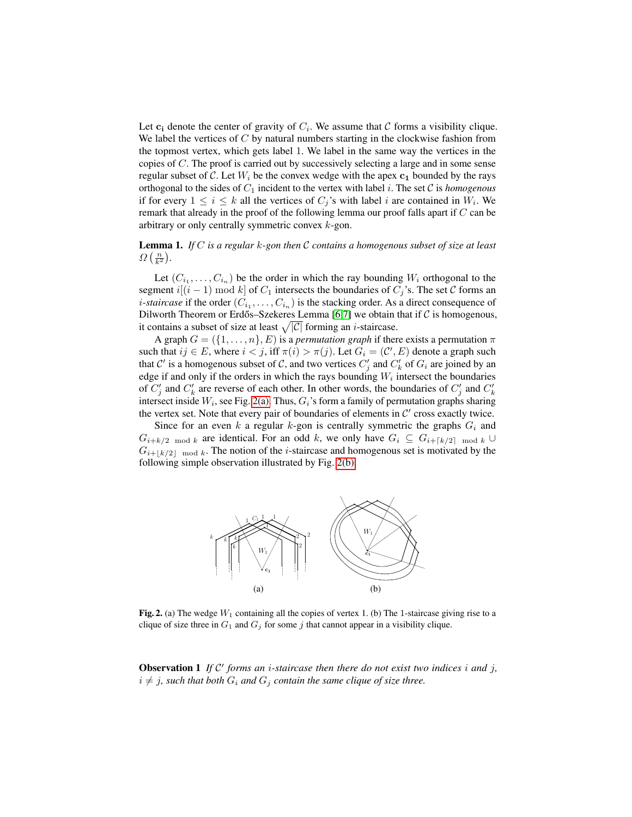Let  $c_i$  denote the center of gravity of  $C_i$ . We assume that C forms a visibility clique. We label the vertices of  $C$  by natural numbers starting in the clockwise fashion from the topmost vertex, which gets label 1. We label in the same way the vertices in the copies of C. The proof is carried out by successively selecting a large and in some sense regular subset of C. Let  $W_i$  be the convex wedge with the apex  $c_1$  bounded by the rays orthogonal to the sides of  $C_1$  incident to the vertex with label i. The set  $\mathcal C$  is *homogenous* if for every  $1 \leq i \leq k$  all the vertices of  $C_j$ 's with label i are contained in  $W_i$ . We remark that already in the proof of the following lemma our proof falls apart if C can be arbitrary or only centrally symmetric convex k-gon.

<span id="page-2-3"></span>Lemma 1. *If* C *is a regular* k*-gon then* C *contains a homogenous subset of size at least*  $\Omega\left(\frac{n}{k^2}\right)$ .

Let  $(C_{i_1}, \ldots, C_{i_n})$  be the order in which the ray bounding  $W_i$  orthogonal to the segment  $i[(i - 1) \bmod k]$  of  $C_1$  intersects the boundaries of  $C_i$ 's. The set C forms an *i*-staircase if the order  $(C_{i_1}, \ldots, C_{i_n})$  is the stacking order. As a direct consequence of Dilworth Theorem or Erdős–Szekeres Lemma [[6](#page-5-8)[,7\]](#page-5-11) we obtain that if  $\mathcal C$  is homogenous, it contains a subset of size at least  $\sqrt{|C|}$  forming an *i*-staircase.

A graph  $G = (\{1, \ldots, n\}, E)$  is a *permutation graph* if there exists a permutation  $\pi$ such that  $ij \in E$ , where  $i < j$ , iff  $\pi(i) > \pi(j)$ . Let  $G_i = (\mathcal{C}', E)$  denote a graph such that  $\mathcal{C}'$  is a homogenous subset of  $\mathcal{C}$ , and two vertices  $C'_j$  and  $C'_k$  of  $G_i$  are joined by an edge if and only if the orders in which the rays bounding  $W_i$  intersect the boundaries of  $C'_j$  and  $C'_k$  are reverse of each other. In other words, the boundaries of  $C'_j$  and  $C'_k$ intersect inside  $W_i$ , see Fig. [2\(a\).](#page-2-0) Thus,  $G_i$ 's form a family of permutation graphs sharing the vertex set. Note that every pair of boundaries of elements in  $\mathcal{C}'$  cross exactly twice.

Since for an even k a regular k-gon is centrally symmetric the graphs  $G_i$  and  $G_{i+k/2 \mod k}$  are identical. For an odd k, we only have  $G_i \subseteq G_{i+[k/2] \mod k} \cup$  $G_{i+1k/2\ell \mod k}$ . The notion of the *i*-staircase and homogenous set is motivated by the following simple observation illustrated by Fig. [2\(b\).](#page-2-1)

<span id="page-2-1"></span><span id="page-2-0"></span>

Fig. 2. (a) The wedge  $W_1$  containing all the copies of vertex 1. (b) The 1-staircase giving rise to a clique of size three in  $G_1$  and  $G_j$  for some j that cannot appear in a visibility clique.

<span id="page-2-2"></span>**Observation 1** If  $C'$  forms an *i*-staircase then there do not exist two indices *i* and *j*,  $i \neq j$ , such that both  $G_i$  and  $G_j$  contain the same clique of size three.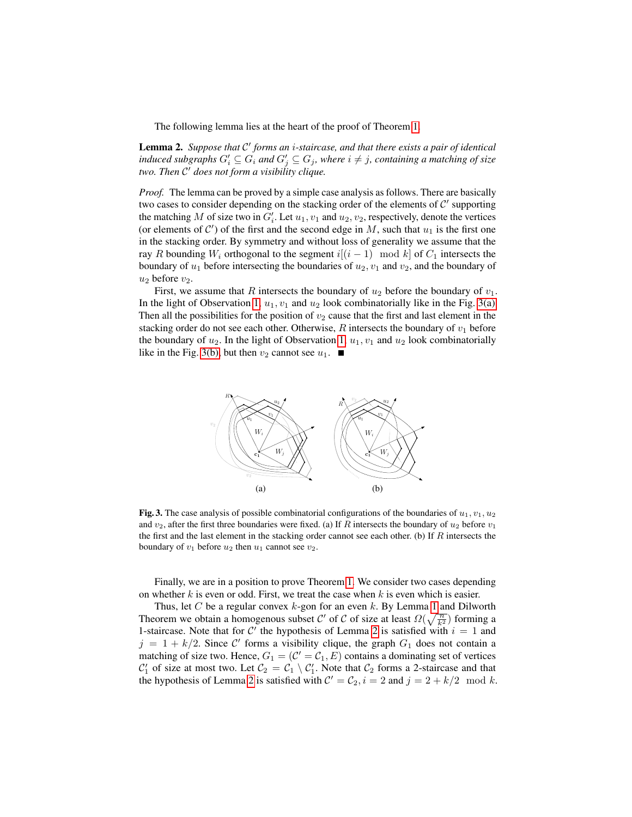The following lemma lies at the heart of the proof of Theorem [1.](#page-1-2)

<span id="page-3-2"></span>Lemma 2. Suppose that C' forms an *i*-staircase, and that there exists a pair of identical induced subgraphs  $G_i' \subseteq G_i$  and  $G_j' \subseteq G_j$ , where  $i \neq j$ , containing a matching of size *two. Then* C <sup>0</sup> *does not form a visibility clique.*

*Proof.* The lemma can be proved by a simple case analysis as follows. There are basically two cases to consider depending on the stacking order of the elements of  $\mathcal{C}'$  supporting the matching M of size two in  $G_i'$ . Let  $u_1, v_1$  and  $u_2, v_2$ , respectively, denote the vertices (or elements of  $C'$ ) of the first and the second edge in M, such that  $u_1$  is the first one in the stacking order. By symmetry and without loss of generality we assume that the ray R bounding W<sub>i</sub> orthogonal to the segment  $i[(i - 1) \mod k]$  of  $C_1$  intersects the boundary of  $u_1$  before intersecting the boundaries of  $u_2$ ,  $v_1$  and  $v_2$ , and the boundary of  $u_2$  before  $v_2$ .

First, we assume that R intersects the boundary of  $u_2$  before the boundary of  $v_1$ . In the light of Observation [1,](#page-2-2)  $u_1, v_1$  and  $u_2$  look combinatorially like in the Fig. [3\(a\).](#page-3-0) Then all the possibilities for the position of  $v_2$  cause that the first and last element in the stacking order do not see each other. Otherwise,  $R$  intersects the boundary of  $v_1$  before the boundary of  $u_2$ . In the light of Observation [1,](#page-2-2)  $u_1, v_1$  and  $u_2$  look combinatorially like in the Fig. [3\(b\),](#page-3-1) but then  $v_2$  cannot see  $u_1$ .

<span id="page-3-1"></span><span id="page-3-0"></span>

Fig. 3. The case analysis of possible combinatorial configurations of the boundaries of  $u_1, v_1, u_2$ and  $v_2$ , after the first three boundaries were fixed. (a) If R intersects the boundary of  $u_2$  before  $v_1$ the first and the last element in the stacking order cannot see each other. (b) If  $R$  intersects the boundary of  $v_1$  before  $u_2$  then  $u_1$  cannot see  $v_2$ .

Finally, we are in a position to prove Theorem [1.](#page-1-2) We consider two cases depending on whether  $k$  is even or odd. First, we treat the case when  $k$  is even which is easier.

Thus, let C be a regular convex  $k$ -gon for an even  $k$ . By Lemma [1](#page-2-3) and Dilworth Theorem we obtain a homogenous subset C' of C of size at least  $\Omega(\sqrt{\frac{n}{k^2}})$  forming a 1-staircase. Note that for C' the hypothesis of Lemma [2](#page-3-2) is satisfied with  $i = 1$  and  $j = 1 + k/2$ . Since C' forms a visibility clique, the graph  $G_1$  does not contain a matching of size two. Hence,  $G_1 = (\mathcal{C}' = \mathcal{C}_1, E)$  contains a dominating set of vertices  $\mathcal{C}'_1$  of size at most two. Let  $\mathcal{C}_2 = \mathcal{C}_1 \setminus \mathcal{C}'_1$ . Note that  $\mathcal{C}_2$  forms a 2-staircase and that the hypothesis of Lemma [2](#page-3-2) is satisfied with  $C' = C_2$ ,  $i = 2$  and  $j = 2 + k/2 \mod k$ .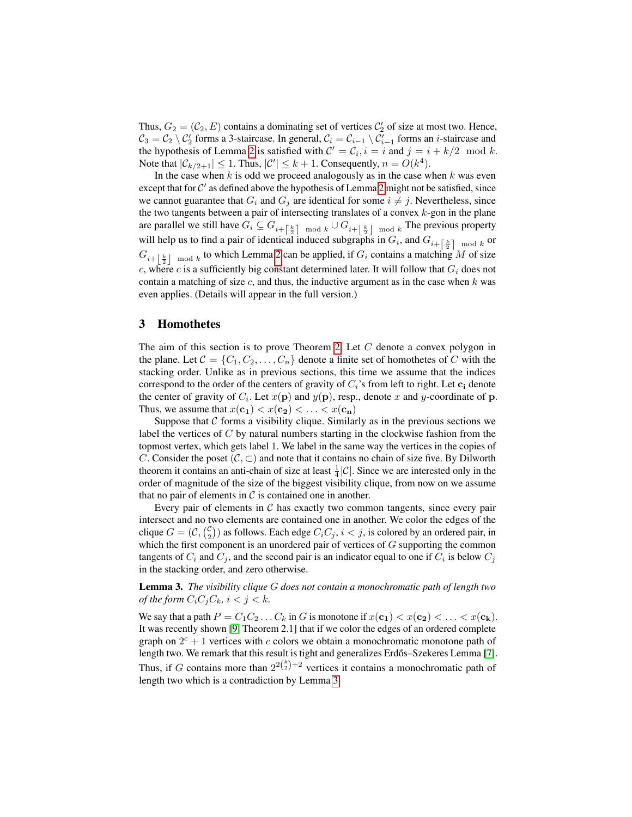Thus,  $G_2 = (\mathcal{C}_2, E)$  contains a dominating set of vertices  $\mathcal{C}'_2$  of size at most two. Hence,  $C_3 = C_2 \setminus C'_2$  forms a 3-staircase. In general,  $C_i = C_{i-1} \setminus C'_{i-1}$  forms an *i*-staircase and the hypothesis of Lemma [2](#page-3-2) is satisfied with  $C' = C_i$ ,  $i = i$  and  $j = i + k/2 \mod k$ . Note that  $|\mathcal{C}_{k/2+1}| \leq 1$ . Thus,  $|\mathcal{C}'| \leq k+1$ . Consequently,  $n = O(k^4)$ .

In the case when  $k$  is odd we proceed analogously as in the case when  $k$  was even except that for  $C'$  as defined above the hypothesis of Lemma [2](#page-3-2) might not be satisfied, since we cannot guarantee that  $G_i$  and  $G_j$  are identical for some  $i \neq j$ . Nevertheless, since the two tangents between a pair of intersecting translates of a convex  $k$ -gon in the plane are parallel we still have  $G_i \subseteq G_{i+\left[\frac{k}{2}\right]\mod k} \cup G_{i+\left[\frac{k}{2}\right]\mod k}$  The previous property will help us to find a pair of identical induced subgraphs in  $G_i$ , and  $G_{i+\left\lceil \frac{k}{2}\right\rceil \mod k}$  or  $G_{i+\lfloor \frac{k}{2} \rfloor \mod k}$  to which Lemma [2](#page-3-2) can be applied, if  $G_i$  contains a matching M of size c, where c is a sufficiently big constant determined later. It will follow that  $G_i$  does not contain a matching of size  $c$ , and thus, the inductive argument as in the case when  $k$  was even applies. (Details will appear in the full version.)

## <span id="page-4-0"></span>3 Homothetes

The aim of this section is to prove Theorem [2.](#page-1-3) Let  $C$  denote a convex polygon in the plane. Let  $C = \{C_1, C_2, \ldots, C_n\}$  denote a finite set of homothetes of C with the stacking order. Unlike as in previous sections, this time we assume that the indices correspond to the order of the centers of gravity of  $C_i$ 's from left to right. Let  $c_i$  denote the center of gravity of  $C_i$ . Let  $x(\mathbf{p})$  and  $y(\mathbf{p})$ , resp., denote x and y-coordinate of p. Thus, we assume that  $x(c_1) < x(c_2) < \ldots < x(c_n)$ 

Suppose that  $\mathcal C$  forms a visibility clique. Similarly as in the previous sections we label the vertices of C by natural numbers starting in the clockwise fashion from the topmost vertex, which gets label 1. We label in the same way the vertices in the copies of C. Consider the poset  $(C, \subset)$  and note that it contains no chain of size five. By Dilworth theorem it contains an anti-chain of size at least  $\frac{1}{4}|\mathcal{C}|$ . Since we are interested only in the order of magnitude of the size of the biggest visibility clique, from now on we assume that no pair of elements in  $\mathcal C$  is contained one in another.

Every pair of elements in  $C$  has exactly two common tangents, since every pair intersect and no two elements are contained one in another. We color the edges of the clique  $G = (\mathcal{C}, \binom{\mathcal{C}}{2})$  as follows. Each edge  $C_i C_j$ ,  $i < j$ , is colored by an ordered pair, in which the first component is an unordered pair of vertices of  $G$  supporting the common tangents of  $C_i$  and  $C_j$ , and the second pair is an indicator equal to one if  $C_i$  is below  $C_j$ in the stacking order, and zero otherwise.

<span id="page-4-1"></span>Lemma 3. *The visibility clique* G *does not contain a monochromatic path of length two of the form*  $C_iC_jC_k$ ,  $i < j < k$ .

We say that a path  $P = C_1 C_2 \dots C_k$  in G is monotone if  $x(\mathbf{c_1}) < x(\mathbf{c_2}) < \dots < x(\mathbf{c_k})$ . It was recently shown [\[9,](#page-5-12) Theorem 2.1] that if we color the edges of an ordered complete graph on  $2^c + 1$  vertices with c colors we obtain a monochromatic monotone path of length two. We remark that this result is tight and generalizes Erdős–Szekeres Lemma [[7\]](#page-5-11). Thus, if G contains more than  $2^{2{k \choose 2}+2}$  vertices it contains a monochromatic path of length two which is a contradiction by Lemma [3.](#page-4-1)